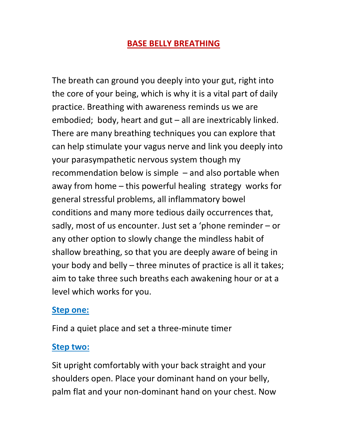### BASE BELLY BREATHING

The breath can ground you deeply into your gut, right into the core of your being, which is why it is a vital part of daily practice. Breathing with awareness reminds us we are embodied; body, heart and gut – all are inextricably linked. There are many breathing techniques you can explore that can help stimulate your vagus nerve and link you deeply into your parasympathetic nervous system though my recommendation below is simple – and also portable when away from home – this powerful healing strategy works for general stressful problems, all inflammatory bowel conditions and many more tedious daily occurrences that, sadly, most of us encounter. Just set a 'phone reminder – or any other option to slowly change the mindless habit of shallow breathing, so that you are deeply aware of being in your body and belly – three minutes of practice is all it takes; aim to take three such breaths each awakening hour or at a level which works for you.

#### Step one:

Find a quiet place and set a three-minute timer

#### Step two:

Sit upright comfortably with your back straight and your shoulders open. Place your dominant hand on your belly, palm flat and your non-dominant hand on your chest. Now